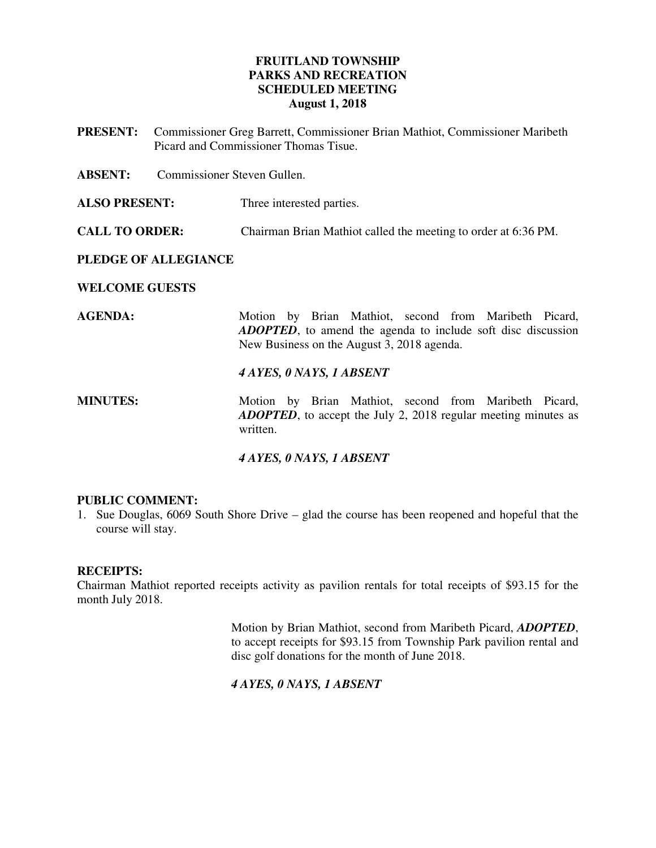## **FRUITLAND TOWNSHIP PARKS AND RECREATION SCHEDULED MEETING August 1, 2018**

**PRESENT:** Commissioner Greg Barrett, Commissioner Brian Mathiot, Commissioner Maribeth Picard and Commissioner Thomas Tisue.

**ABSENT:** Commissioner Steven Gullen.

**ALSO PRESENT:** Three interested parties.

**CALL TO ORDER:** Chairman Brian Mathiot called the meeting to order at 6:36 PM.

#### **PLEDGE OF ALLEGIANCE**

**WELCOME GUESTS** 

AGENDA: Motion by Brian Mathiot, second from Maribeth Picard, *ADOPTED*, to amend the agenda to include soft disc discussion New Business on the August 3, 2018 agenda.

#### *4 AYES, 0 NAYS, 1 ABSENT*

**MINUTES:** Motion by Brian Mathiot, second from Maribeth Picard, *ADOPTED*, to accept the July 2, 2018 regular meeting minutes as written.

## *4 AYES, 0 NAYS, 1 ABSENT*

## **PUBLIC COMMENT:**

1. Sue Douglas, 6069 South Shore Drive – glad the course has been reopened and hopeful that the course will stay.

#### **RECEIPTS:**

Chairman Mathiot reported receipts activity as pavilion rentals for total receipts of \$93.15 for the month July 2018.

> Motion by Brian Mathiot, second from Maribeth Picard, *ADOPTED*, to accept receipts for \$93.15 from Township Park pavilion rental and disc golf donations for the month of June 2018.

## *4 AYES, 0 NAYS, 1 ABSENT*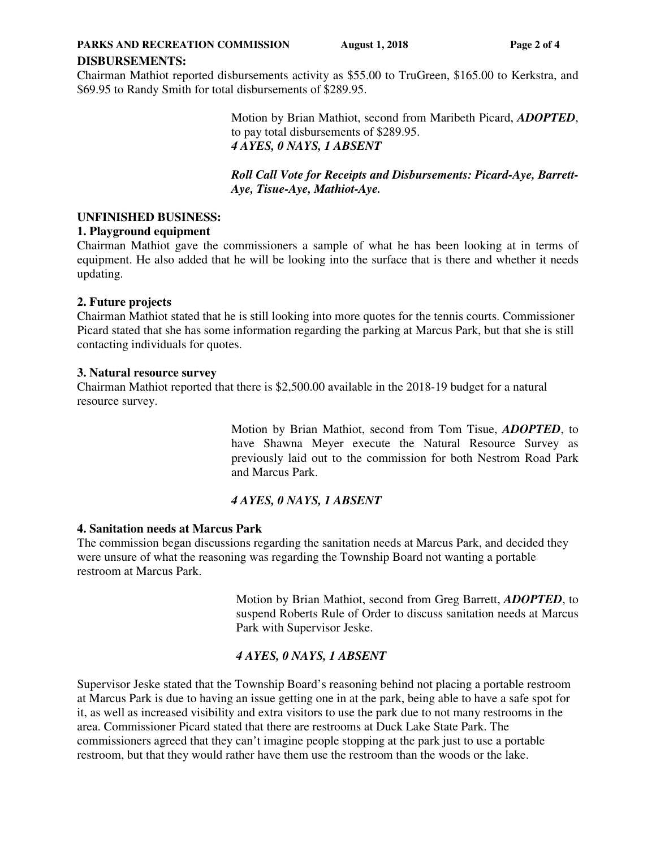**PARKS AND RECREATION COMMISSION** August 1, 2018 Page 2 of 4

#### **DISBURSEMENTS:**

Chairman Mathiot reported disbursements activity as \$55.00 to TruGreen, \$165.00 to Kerkstra, and \$69.95 to Randy Smith for total disbursements of \$289.95.

> Motion by Brian Mathiot, second from Maribeth Picard, *ADOPTED*, to pay total disbursements of \$289.95. *4 AYES, 0 NAYS, 1 ABSENT*

> *Roll Call Vote for Receipts and Disbursements: Picard-Aye, Barrett-Aye, Tisue-Aye, Mathiot-Aye.*

#### **UNFINISHED BUSINESS:**

#### **1. Playground equipment**

Chairman Mathiot gave the commissioners a sample of what he has been looking at in terms of equipment. He also added that he will be looking into the surface that is there and whether it needs updating.

#### **2. Future projects**

Chairman Mathiot stated that he is still looking into more quotes for the tennis courts. Commissioner Picard stated that she has some information regarding the parking at Marcus Park, but that she is still contacting individuals for quotes.

#### **3. Natural resource survey**

Chairman Mathiot reported that there is \$2,500.00 available in the 2018-19 budget for a natural resource survey.

> Motion by Brian Mathiot, second from Tom Tisue, *ADOPTED*, to have Shawna Meyer execute the Natural Resource Survey as previously laid out to the commission for both Nestrom Road Park and Marcus Park.

## *4 AYES, 0 NAYS, 1 ABSENT*

#### **4. Sanitation needs at Marcus Park**

The commission began discussions regarding the sanitation needs at Marcus Park, and decided they were unsure of what the reasoning was regarding the Township Board not wanting a portable restroom at Marcus Park.

> Motion by Brian Mathiot, second from Greg Barrett, *ADOPTED*, to suspend Roberts Rule of Order to discuss sanitation needs at Marcus Park with Supervisor Jeske.

# *4 AYES, 0 NAYS, 1 ABSENT*

Supervisor Jeske stated that the Township Board's reasoning behind not placing a portable restroom at Marcus Park is due to having an issue getting one in at the park, being able to have a safe spot for it, as well as increased visibility and extra visitors to use the park due to not many restrooms in the area. Commissioner Picard stated that there are restrooms at Duck Lake State Park. The commissioners agreed that they can't imagine people stopping at the park just to use a portable restroom, but that they would rather have them use the restroom than the woods or the lake.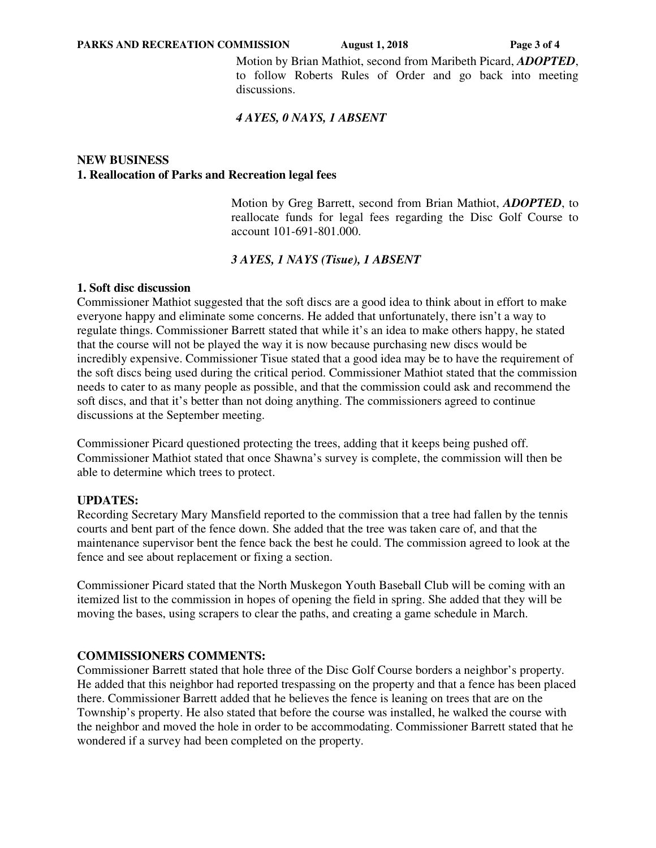Motion by Brian Mathiot, second from Maribeth Picard, *ADOPTED*, to follow Roberts Rules of Order and go back into meeting discussions.

## *4 AYES, 0 NAYS, 1 ABSENT*

## **NEW BUSINESS 1. Reallocation of Parks and Recreation legal fees**

Motion by Greg Barrett, second from Brian Mathiot, *ADOPTED*, to reallocate funds for legal fees regarding the Disc Golf Course to account 101-691-801.000.

## *3 AYES, 1 NAYS (Tisue), 1 ABSENT*

## **1. Soft disc discussion**

Commissioner Mathiot suggested that the soft discs are a good idea to think about in effort to make everyone happy and eliminate some concerns. He added that unfortunately, there isn't a way to regulate things. Commissioner Barrett stated that while it's an idea to make others happy, he stated that the course will not be played the way it is now because purchasing new discs would be incredibly expensive. Commissioner Tisue stated that a good idea may be to have the requirement of the soft discs being used during the critical period. Commissioner Mathiot stated that the commission needs to cater to as many people as possible, and that the commission could ask and recommend the soft discs, and that it's better than not doing anything. The commissioners agreed to continue discussions at the September meeting.

Commissioner Picard questioned protecting the trees, adding that it keeps being pushed off. Commissioner Mathiot stated that once Shawna's survey is complete, the commission will then be able to determine which trees to protect.

## **UPDATES:**

Recording Secretary Mary Mansfield reported to the commission that a tree had fallen by the tennis courts and bent part of the fence down. She added that the tree was taken care of, and that the maintenance supervisor bent the fence back the best he could. The commission agreed to look at the fence and see about replacement or fixing a section.

Commissioner Picard stated that the North Muskegon Youth Baseball Club will be coming with an itemized list to the commission in hopes of opening the field in spring. She added that they will be moving the bases, using scrapers to clear the paths, and creating a game schedule in March.

## **COMMISSIONERS COMMENTS:**

Commissioner Barrett stated that hole three of the Disc Golf Course borders a neighbor's property. He added that this neighbor had reported trespassing on the property and that a fence has been placed there. Commissioner Barrett added that he believes the fence is leaning on trees that are on the Township's property. He also stated that before the course was installed, he walked the course with the neighbor and moved the hole in order to be accommodating. Commissioner Barrett stated that he wondered if a survey had been completed on the property.